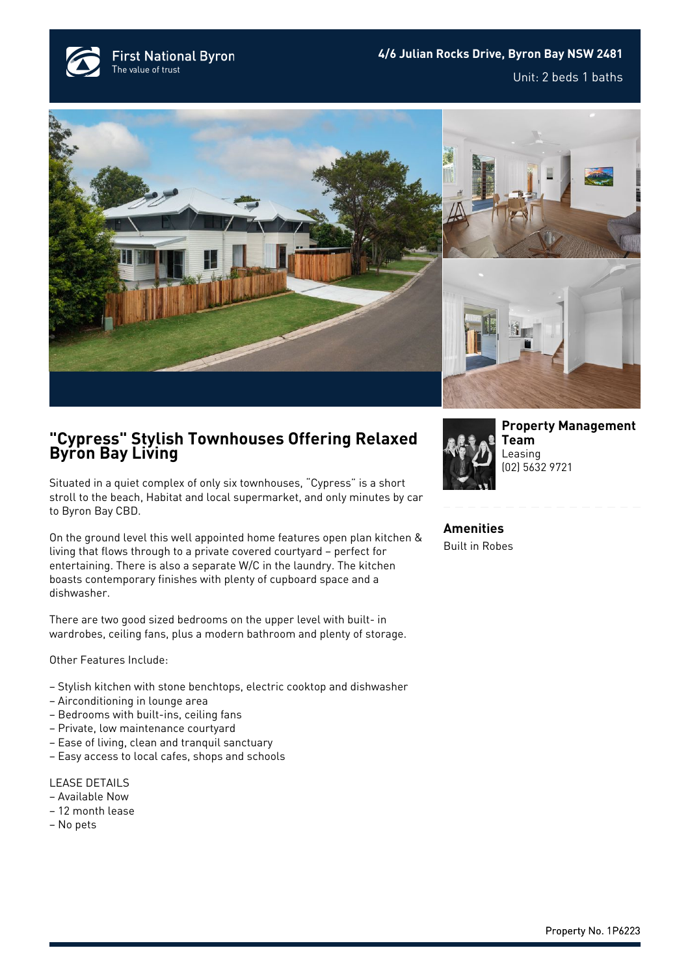**First National Byron** The value of trust







## **"Cypress" Stylish Townhouses Offering Relaxed Byron Bay Living**

Situated in a quiet complex of only six townhouses, "Cypress" is a short stroll to the beach, Habitat and local supermarket, and only minutes by car to Byron Bay CBD.

On the ground level this well appointed home features open plan kitchen & living that flows through to a private covered courtyard – perfect for entertaining. There is also a separate W/C in the laundry. The kitchen boasts contemporary finishes with plenty of cupboard space and a dishwasher.

There are two good sized bedrooms on the upper level with built- in wardrobes, ceiling fans, plus a modern bathroom and plenty of storage.

Other Features Include:

- Stylish kitchen with stone benchtops, electric cooktop and dishwasher
- Airconditioning in lounge area
- Bedrooms with built-ins, ceiling fans
- Private, low maintenance courtyard
- Ease of living, clean and tranquil sanctuary
- Easy access to local cafes, shops and schools

LEASE DETAILS

- Available Now
- 12 month lease
- No pets



**[Property Management](https://www.byronbayfn.com.au/agents/property-management-team/) [Team](https://www.byronbayfn.com.au/agents/property-management-team/)** Leasing [\(02\) 5632 9721](#page--1-0)

**Amenities** Built in Robes